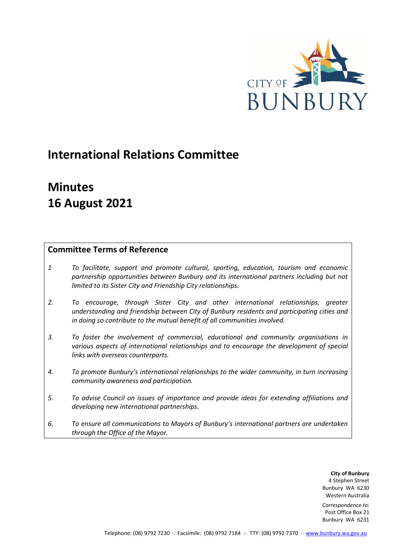

# **International Relations Committee**

# **Minutes 16 August 2021**

## **Committee Terms of Reference**

- *1 To facilitate, support and promote cultural, sporting, education, tourism and economic partnership opportunities between Bunbury and its international partners including but not limited to its Sister City and Friendship City relationships.*
- *2. To encourage, through Sister City and other international relationships, greater understanding and friendship between City of Bunbury residents and participating cities and in doing so contribute to the mutual benefit of all communities involved.*
- *3. To foster the involvement of commercial, educational and community organisations in various aspects of international relationships and to encourage the development of special links with overseas counterparts.*
- *4. To promote Bunbury's international relationships to the wider community, in turn increasing community awareness and participation.*
- *5. To advise Council on issues of importance and provide ideas for extending affiliations and developing new international partnerships.*
- *6. To ensure all communications to Mayors of Bunbury's international partners are undertaken through the Office of the Mayor.*

**City of Bunbury** 4 Stephen Street Bunbury WA 6230 Western Australia

*Correspondence to:* Post Office Box 21 Bunbury WA 6231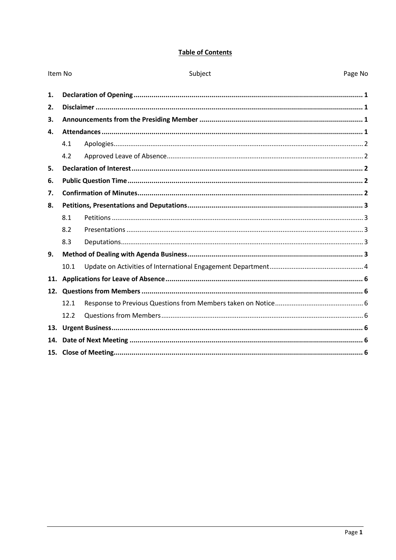## **Table of Contents**

| Item No |      | Subject | Page No |  |  |
|---------|------|---------|---------|--|--|
| 1.      |      |         |         |  |  |
| 2.      |      |         |         |  |  |
| 3.      |      |         |         |  |  |
| 4.      |      |         |         |  |  |
|         | 4.1  |         |         |  |  |
|         | 4.2  |         |         |  |  |
| 5.      |      |         |         |  |  |
| 6.      |      |         |         |  |  |
| 7.      |      |         |         |  |  |
| 8.      |      |         |         |  |  |
|         | 8.1  |         |         |  |  |
|         | 8.2  |         |         |  |  |
|         | 8.3  |         |         |  |  |
| 9.      |      |         |         |  |  |
|         | 10.1 |         |         |  |  |
| 11.     |      |         |         |  |  |
|         |      |         |         |  |  |
|         | 12.1 |         |         |  |  |
|         | 12.2 |         |         |  |  |
| 13.     |      |         |         |  |  |
| 14.     |      |         |         |  |  |
|         |      |         |         |  |  |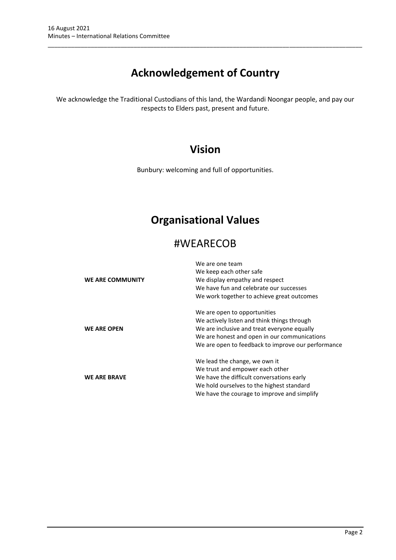# **Acknowledgement of Country**

\_\_\_\_\_\_\_\_\_\_\_\_\_\_\_\_\_\_\_\_\_\_\_\_\_\_\_\_\_\_\_\_\_\_\_\_\_\_\_\_\_\_\_\_\_\_\_\_\_\_\_\_\_\_\_\_\_\_\_\_\_\_\_\_\_\_\_\_\_\_\_\_\_\_\_\_\_\_\_\_\_\_\_\_\_\_\_\_\_\_\_\_\_\_\_

We acknowledge the Traditional Custodians of this land, the Wardandi Noongar people, and pay our respects to Elders past, present and future.

## **Vision**

Bunbury: welcoming and full of opportunities.

## **Organisational Values**

## #WEARECOB

|                     | We are one team                                    |  |  |  |
|---------------------|----------------------------------------------------|--|--|--|
|                     | We keep each other safe                            |  |  |  |
| WE ARE COMMUNITY    | We display empathy and respect                     |  |  |  |
|                     | We have fun and celebrate our successes            |  |  |  |
|                     | We work together to achieve great outcomes         |  |  |  |
|                     | We are open to opportunities                       |  |  |  |
|                     | We actively listen and think things through        |  |  |  |
| <b>WE ARE OPEN</b>  | We are inclusive and treat everyone equally        |  |  |  |
|                     | We are honest and open in our communications       |  |  |  |
|                     | We are open to feedback to improve our performance |  |  |  |
|                     | We lead the change, we own it                      |  |  |  |
|                     | We trust and empower each other                    |  |  |  |
| <b>WE ARE BRAVE</b> | We have the difficult conversations early          |  |  |  |
|                     | We hold ourselves to the highest standard          |  |  |  |
|                     | We have the courage to improve and simplify        |  |  |  |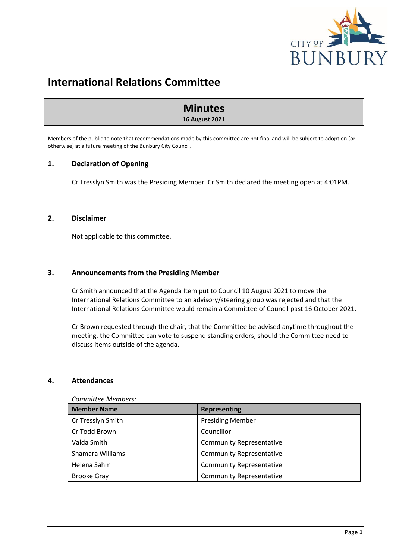

## **International Relations Committee**

## **Minutes 16 August 2021**

Members of the public to note that recommendations made by this committee are not final and will be subject to adoption (or otherwise) at a future meeting of the Bunbury City Council.

## <span id="page-3-0"></span>**1. Declaration of Opening**

Cr Tresslyn Smith was the Presiding Member. Cr Smith declared the meeting open at 4:01PM.

## <span id="page-3-1"></span>**2. Disclaimer**

Not applicable to this committee.

## <span id="page-3-2"></span>**3. Announcements from the Presiding Member**

Cr Smith announced that the Agenda Item put to Council 10 August 2021 to move the International Relations Committee to an advisory/steering group was rejected and that the International Relations Committee would remain a Committee of Council past 16 October 2021.

Cr Brown requested through the chair, that the Committee be advised anytime throughout the meeting, the Committee can vote to suspend standing orders, should the Committee need to discuss items outside of the agenda.

### <span id="page-3-3"></span>**4. Attendances**

| COMMITTED INCHINGIO. |                                 |  |  |
|----------------------|---------------------------------|--|--|
| <b>Member Name</b>   | <b>Representing</b>             |  |  |
| Cr Tresslyn Smith    | <b>Presiding Member</b>         |  |  |
| Cr Todd Brown        | Councillor                      |  |  |
| Valda Smith          | <b>Community Representative</b> |  |  |
| Shamara Williams     | <b>Community Representative</b> |  |  |
| Helena Sahm          | <b>Community Representative</b> |  |  |
| <b>Brooke Gray</b>   | <b>Community Representative</b> |  |  |

#### *Committee Members:*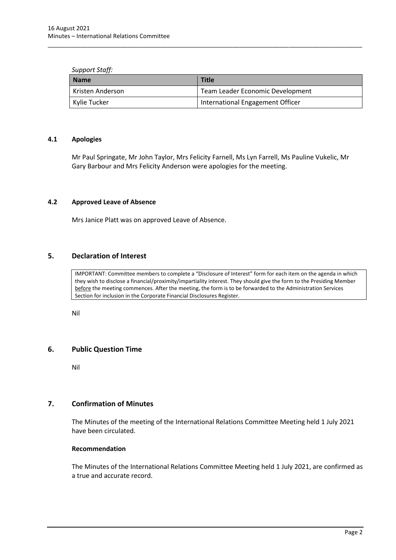#### *Support Staff:*

| l Name           | <b>Title</b>                     |
|------------------|----------------------------------|
| Kristen Anderson | Team Leader Economic Development |
| Kylie Tucker     | International Engagement Officer |

\_\_\_\_\_\_\_\_\_\_\_\_\_\_\_\_\_\_\_\_\_\_\_\_\_\_\_\_\_\_\_\_\_\_\_\_\_\_\_\_\_\_\_\_\_\_\_\_\_\_\_\_\_\_\_\_\_\_\_\_\_\_\_\_\_\_\_\_\_\_\_\_\_\_\_\_\_\_\_\_\_\_\_\_\_\_\_\_\_\_\_\_\_\_\_

### <span id="page-4-0"></span>**4.1 Apologies**

Mr Paul Springate, Mr John Taylor, Mrs Felicity Farnell, Ms Lyn Farrell, Ms Pauline Vukelic, Mr Gary Barbour and Mrs Felicity Anderson were apologies for the meeting.

## <span id="page-4-1"></span>**4.2 Approved Leave of Absence**

Mrs Janice Platt was on approved Leave of Absence.

### <span id="page-4-2"></span>**5. Declaration of Interest**

IMPORTANT: Committee members to complete a "Disclosure of Interest" form for each item on the agenda in which they wish to disclose a financial/proximity/impartiality interest. They should give the form to the Presiding Member before the meeting commences. After the meeting, the form is to be forwarded to the Administration Services Section for inclusion in the Corporate Financial Disclosures Register.

Nil

### <span id="page-4-3"></span>**6. Public Question Time**

Nil

## <span id="page-4-4"></span>**7. Confirmation of Minutes**

The Minutes of the meeting of the International Relations Committee Meeting held 1 July 2021 have been circulated.

### **Recommendation**

The Minutes of the International Relations Committee Meeting held 1 July 2021, are confirmed as a true and accurate record.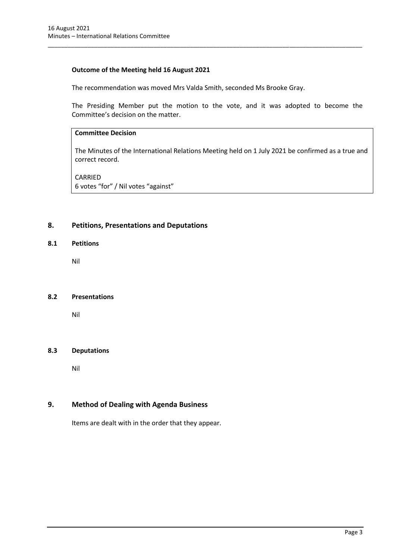## **Outcome of the Meeting held 16 August 2021**

The recommendation was moved Mrs Valda Smith, seconded Ms Brooke Gray.

\_\_\_\_\_\_\_\_\_\_\_\_\_\_\_\_\_\_\_\_\_\_\_\_\_\_\_\_\_\_\_\_\_\_\_\_\_\_\_\_\_\_\_\_\_\_\_\_\_\_\_\_\_\_\_\_\_\_\_\_\_\_\_\_\_\_\_\_\_\_\_\_\_\_\_\_\_\_\_\_\_\_\_\_\_\_\_\_\_\_\_\_\_\_\_

The Presiding Member put the motion to the vote, and it was adopted to become the Committee's decision on the matter.

## **Committee Decision**

The Minutes of the International Relations Meeting held on 1 July 2021 be confirmed as a true and correct record.

CARRIED 6 votes "for" / Nil votes "against"

## <span id="page-5-0"></span>**8. Petitions, Presentations and Deputations**

## <span id="page-5-1"></span>**8.1 Petitions**

Nil

### <span id="page-5-2"></span>**8.2 Presentations**

Nil

### <span id="page-5-3"></span>**8.3 Deputations**

Nil

## <span id="page-5-4"></span>**9. Method of Dealing with Agenda Business**

Items are dealt with in the order that they appear.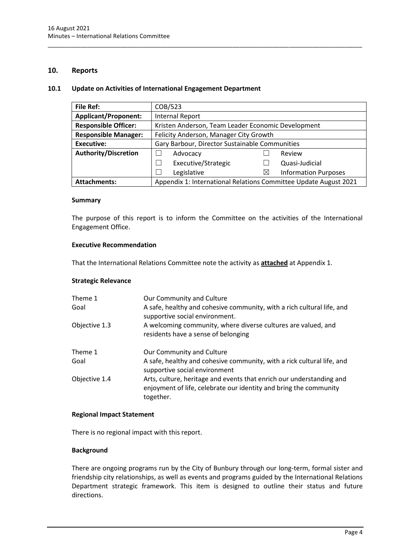## **10. Reports**

#### <span id="page-6-0"></span>**10.1 Update on Activities of International Engagement Department**

| <b>File Ref:</b>            | COB/523                                                          |   |                             |  |
|-----------------------------|------------------------------------------------------------------|---|-----------------------------|--|
| <b>Applicant/Proponent:</b> | Internal Report                                                  |   |                             |  |
| <b>Responsible Officer:</b> | Kristen Anderson, Team Leader Economic Development               |   |                             |  |
| <b>Responsible Manager:</b> | Felicity Anderson, Manager City Growth                           |   |                             |  |
| <b>Executive:</b>           | Gary Barbour, Director Sustainable Communities                   |   |                             |  |
| <b>Authority/Discretion</b> | Advocacy                                                         |   | Review                      |  |
|                             | Executive/Strategic                                              |   | Quasi-Judicial              |  |
|                             | Legislative                                                      | ⊠ | <b>Information Purposes</b> |  |
| <b>Attachments:</b>         | Appendix 1: International Relations Committee Update August 2021 |   |                             |  |

\_\_\_\_\_\_\_\_\_\_\_\_\_\_\_\_\_\_\_\_\_\_\_\_\_\_\_\_\_\_\_\_\_\_\_\_\_\_\_\_\_\_\_\_\_\_\_\_\_\_\_\_\_\_\_\_\_\_\_\_\_\_\_\_\_\_\_\_\_\_\_\_\_\_\_\_\_\_\_\_\_\_\_\_\_\_\_\_\_\_\_\_\_\_\_

#### **Summary**

The purpose of this report is to inform the Committee on the activities of the International Engagement Office.

### **Executive Recommendation**

That the International Relations Committee note the activity as **attached** at Appendix 1.

### **Strategic Relevance**

| Theme 1<br>Goal | Our Community and Culture<br>A safe, healthy and cohesive community, with a rich cultural life, and<br>supportive social environment.                  |
|-----------------|--------------------------------------------------------------------------------------------------------------------------------------------------------|
| Objective 1.3   | A welcoming community, where diverse cultures are valued, and<br>residents have a sense of belonging                                                   |
| Theme 1<br>Goal | Our Community and Culture<br>A safe, healthy and cohesive community, with a rick cultural life, and<br>supportive social environment                   |
| Objective 1.4   | Arts, culture, heritage and events that enrich our understanding and<br>enjoyment of life, celebrate our identity and bring the community<br>together. |

#### **Regional Impact Statement**

There is no regional impact with this report.

### **Background**

There are ongoing programs run by the City of Bunbury through our long-term, formal sister and friendship city relationships, as well as events and programs guided by the International Relations Department strategic framework. This item is designed to outline their status and future directions.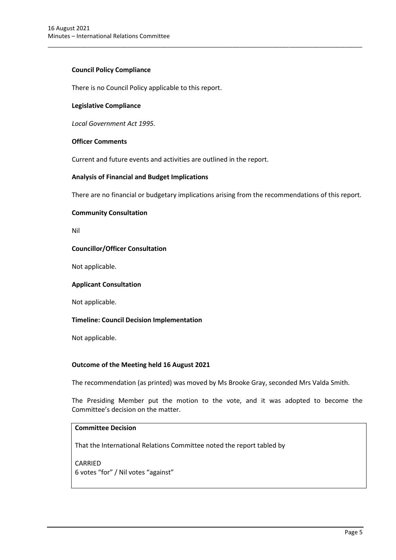## **Council Policy Compliance**

There is no Council Policy applicable to this report.

### **Legislative Compliance**

*Local Government Act 1995.*

### **Officer Comments**

Current and future events and activities are outlined in the report.

## **Analysis of Financial and Budget Implications**

There are no financial or budgetary implications arising from the recommendations of this report.

\_\_\_\_\_\_\_\_\_\_\_\_\_\_\_\_\_\_\_\_\_\_\_\_\_\_\_\_\_\_\_\_\_\_\_\_\_\_\_\_\_\_\_\_\_\_\_\_\_\_\_\_\_\_\_\_\_\_\_\_\_\_\_\_\_\_\_\_\_\_\_\_\_\_\_\_\_\_\_\_\_\_\_\_\_\_\_\_\_\_\_\_\_\_\_

### **Community Consultation**

Nil

### **Councillor/Officer Consultation**

Not applicable.

### **Applicant Consultation**

Not applicable.

### **Timeline: Council Decision Implementation**

Not applicable.

### **Outcome of the Meeting held 16 August 2021**

The recommendation (as printed) was moved by Ms Brooke Gray, seconded Mrs Valda Smith.

The Presiding Member put the motion to the vote, and it was adopted to become the Committee's decision on the matter.

## **Committee Decision**

That the International Relations Committee noted the report tabled by

CARRIED 6 votes "for" / Nil votes "against"